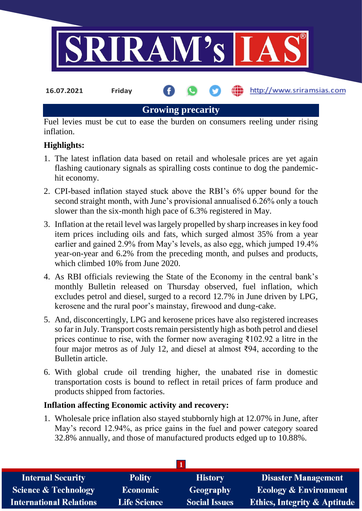

**Growing precarity**

Fuel levies must be cut to ease the burden on consumers reeling under rising inflation.

# **Highlights:**

- 1. The latest inflation data based on retail and wholesale prices are yet again flashing cautionary signals as spiralling costs continue to dog the pandemichit economy.
- 2. CPI-based inflation stayed stuck above the RBI's 6% upper bound for the second straight month, with June's provisional annualised 6.26% only a touch slower than the six-month high pace of 6.3% registered in May.
- 3. Inflation at the retail level was largely propelled by sharp increases in key food item prices including oils and fats, which surged almost 35% from a year earlier and gained 2.9% from May's levels, as also egg, which jumped 19.4% year-on-year and 6.2% from the preceding month, and pulses and products, which climbed 10% from June 2020.
- 4. As RBI officials reviewing the State of the Economy in the central bank's monthly Bulletin released on Thursday observed, fuel inflation, which excludes petrol and diesel, surged to a record 12.7% in June driven by LPG, kerosene and the rural poor's mainstay, firewood and dung-cake.
- 5. And, disconcertingly, LPG and kerosene prices have also registered increases so far in July. Transport costs remain persistently high as both petrol and diesel prices continue to rise, with the former now averaging  $\bar{\tau}$ 102.92 a litre in the four major metros as of July 12, and diesel at almost ₹94, according to the Bulletin article.
- 6. With global crude oil trending higher, the unabated rise in domestic transportation costs is bound to reflect in retail prices of farm produce and products shipped from factories.

#### **Inflation affecting Economic activity and recovery:**

1. Wholesale price inflation also stayed stubbornly high at 12.07% in June, after May's record 12.94%, as price gains in the fuel and power category soared 32.8% annually, and those of manufactured products edged up to 10.88%.

| <b>Polity</b>       | <b>History</b>       | <b>Disaster Management</b>              |  |  |  |
|---------------------|----------------------|-----------------------------------------|--|--|--|
| <b>Economic</b>     | Geography            | <b>Ecology &amp; Environment</b>        |  |  |  |
| <b>Life Science</b> | <b>Social Issues</b> | <b>Ethics, Integrity &amp; Aptitude</b> |  |  |  |
|                     |                      |                                         |  |  |  |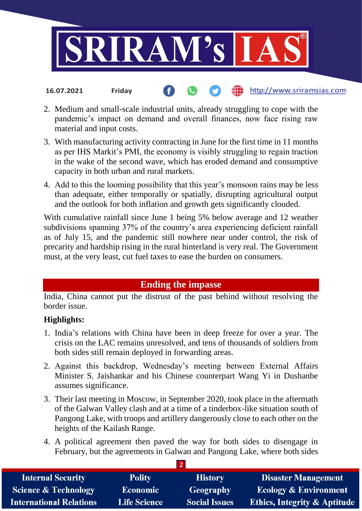

2. Medium and small-scale industrial units, already struggling to cope with the pandemic's impact on demand and overall finances, now face rising raw material and input costs.

http://www.sriramsias.com

- 3. With manufacturing activity contracting in June for the first time in 11 months as per IHS Markit's PMI, the economy is visibly struggling to regain traction in the wake of the second wave, which has eroded demand and consumptive capacity in both urban and rural markets.
- 4. Add to this the looming possibility that this year's monsoon rains may be less than adequate, either temporally or spatially, disrupting agricultural output and the outlook for both inflation and growth gets significantly clouded.

With cumulative rainfall since June 1 being 5% below average and 12 weather subdivisions spanning 37% of the country's area experiencing deficient rainfall as of July 15, and the pandemic still nowhere near under control, the risk of precarity and hardship rising in the rural hinterland is very real. The Government must, at the very least, cut fuel taxes to ease the burden on consumers.

# **Ending the impasse**

India, China cannot put the distrust of the past behind without resolving the border issue.

## **Highlights:**

**16.07.2021 Friday**

- 1. India's relations with China have been in deep freeze for over a year. The crisis on the LAC remains unresolved, and tens of thousands of soldiers from both sides still remain deployed in forwarding areas.
- 2. Against this backdrop, Wednesday's meeting between External Affairs Minister S. Jaishankar and his Chinese counterpart Wang Yi in Dushanbe assumes significance.
- 3. Their last meeting in Moscow, in September 2020, took place in the aftermath of the Galwan Valley clash and at a time of a tinderbox-like situation south of Pangong Lake, with troops and artillery dangerously close to each other on the heights of the Kailash Range.
- 4. A political agreement then paved the way for both sides to disengage in February, but the agreements in Galwan and Pangong Lake, where both sides

**2**

| <b>Internal Security</b>        | <b>Polity</b>       | <b>History</b>       | <b>Disaster Management</b>              |
|---------------------------------|---------------------|----------------------|-----------------------------------------|
| <b>Science &amp; Technology</b> | <b>Economic</b>     | Geography            | <b>Ecology &amp; Environment</b>        |
| <b>International Relations</b>  | <b>Life Science</b> | <b>Social Issues</b> | <b>Ethics, Integrity &amp; Aptitude</b> |